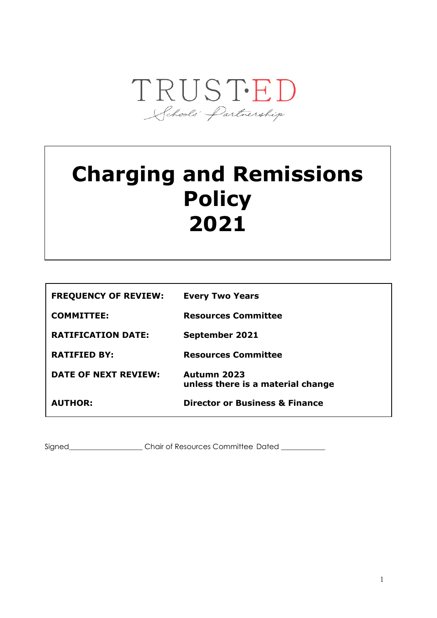

# **Charging and Remissions Policy 2021**

| <b>FREQUENCY OF REVIEW:</b> | <b>Every Two Years</b>                           |
|-----------------------------|--------------------------------------------------|
| <b>COMMITTEE:</b>           | <b>Resources Committee</b>                       |
| <b>RATIFICATION DATE:</b>   | <b>September 2021</b>                            |
| <b>RATIFIED BY:</b>         | <b>Resources Committee</b>                       |
| <b>DATE OF NEXT REVIEW:</b> | Autumn 2023<br>unless there is a material change |
| <b>AUTHOR:</b>              | <b>Director or Business &amp; Finance</b>        |
|                             |                                                  |

Signed\_\_\_\_\_\_\_\_\_\_\_\_\_\_\_\_\_\_\_\_\_Chair of Resources Committee Dated \_\_\_\_\_\_\_\_\_\_\_\_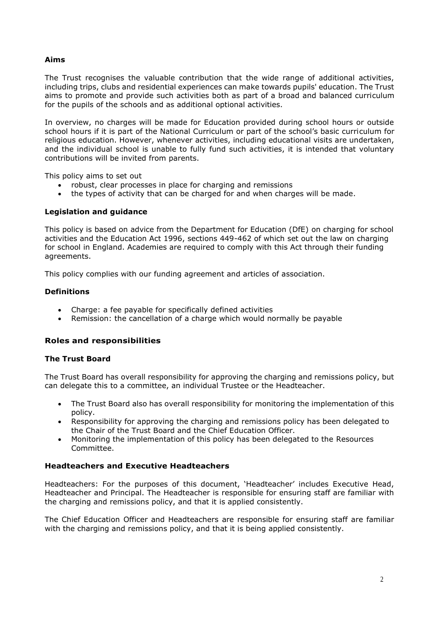## **Aims**

The Trust recognises the valuable contribution that the wide range of additional activities, including trips, clubs and residential experiences can make towards pupils' education. The Trust aims to promote and provide such activities both as part of a broad and balanced curriculum for the pupils of the schools and as additional optional activities.

In overview, no charges will be made for Education provided during school hours or outside school hours if it is part of the National Curriculum or part of the school's basic curriculum for religious education. However, whenever activities, including educational visits are undertaken, and the individual school is unable to fully fund such activities, it is intended that voluntary contributions will be invited from parents.

This policy aims to set out

- robust, clear processes in place for charging and remissions
- the types of activity that can be charged for and when charges will be made.

#### **Legislation and guidance**

This policy is based on advice from the Department for Education (DfE) on charging for school activities and the Education Act 1996, sections 449-462 of which set out the law on charging for school in England. Academies are required to comply with this Act through their funding agreements.

This policy complies with our funding agreement and articles of association.

## **Definitions**

- Charge: a fee payable for specifically defined activities
- Remission: the cancellation of a charge which would normally be payable

## **Roles and responsibilities**

#### **The Trust Board**

The Trust Board has overall responsibility for approving the charging and remissions policy, but can delegate this to a committee, an individual Trustee or the Headteacher.

- The Trust Board also has overall responsibility for monitoring the implementation of this policy.
- Responsibility for approving the charging and remissions policy has been delegated to the Chair of the Trust Board and the Chief Education Officer.
- Monitoring the implementation of this policy has been delegated to the Resources Committee.

## **Headteachers and Executive Headteachers**

Headteachers: For the purposes of this document, 'Headteacher' includes Executive Head, Headteacher and Principal. The Headteacher is responsible for ensuring staff are familiar with the charging and remissions policy, and that it is applied consistently.

The Chief Education Officer and Headteachers are responsible for ensuring staff are familiar with the charging and remissions policy, and that it is being applied consistently.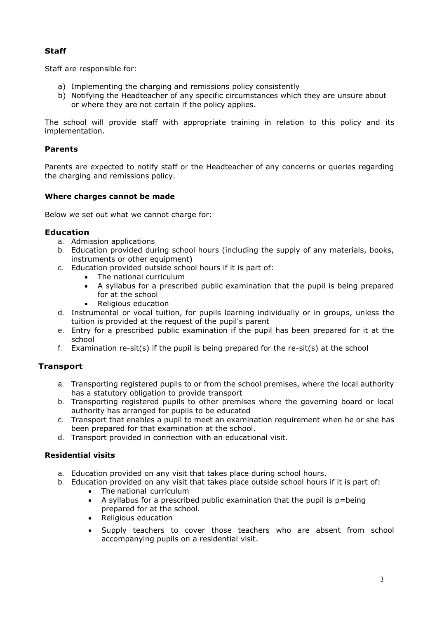# **Staff**

Staff are responsible for:

- a) Implementing the charging and remissions policy consistently
- b) Notifying the Headteacher of any specific circumstances which they are unsure about or where they are not certain if the policy applies.

The school will provide staff with appropriate training in relation to this policy and its implementation.

## **Parents**

Parents are expected to notify staff or the Headteacher of any concerns or queries regarding the charging and remissions policy.

## **Where charges cannot be made**

Below we set out what we cannot charge for:

#### **Education**

- a. Admission applications
- b. Education provided during school hours (including the supply of any materials, books, instruments or other equipment)
- c. Education provided outside school hours if it is part of:
	- The national curriculum
		- A syllabus for a prescribed public examination that the pupil is being prepared for at the school
		- Religious education
- d. Instrumental or vocal tuition, for pupils learning individually or in groups, unless the tuition is provided at the request of the pupil's parent
- e. Entry for a prescribed public examination if the pupil has been prepared for it at the school
- f. Examination re-sit(s) if the pupil is being prepared for the re-sit(s) at the school

## **Transport**

- a. Transporting registered pupils to or from the school premises, where the local authority has a statutory obligation to provide transport
- b. Transporting registered pupils to other premises where the governing board or local authority has arranged for pupils to be educated
- c. Transport that enables a pupil to meet an examination requirement when he or she has been prepared for that examination at the school.
- d. Transport provided in connection with an educational visit.

## **Residential visits**

- a. Education provided on any visit that takes place during school hours.
- b. Education provided on any visit that takes place outside school hours if it is part of:
	- The national curriculum
	- A syllabus for a prescribed public examination that the pupil is  $p = being$ prepared for at the school.
	- Religious education
	- Supply teachers to cover those teachers who are absent from school accompanying pupils on a residential visit.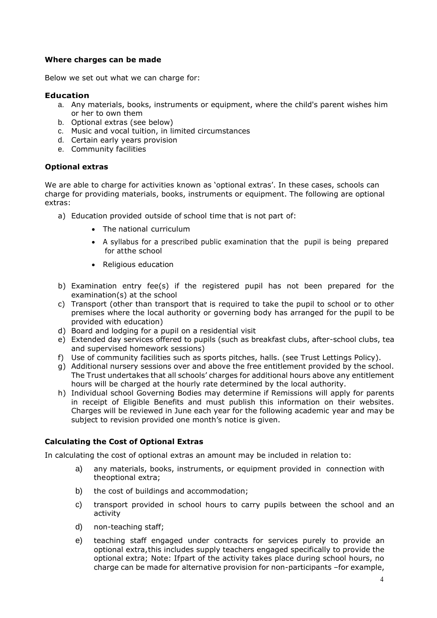## **Where charges can be made**

Below we set out what we can charge for:

## **Education**

- a. Any materials, books, instruments or equipment, where the child's parent wishes him or her to own them
- b. Optional extras (see below)
- c. Music and vocal tuition, in limited circumstances
- d. Certain early years provision
- e. Community facilities

## **Optional extras**

We are able to charge for activities known as 'optional extras'. In these cases, schools can charge for providing materials, books, instruments or equipment. The following are optional extras:

- a) Education provided outside of school time that is not part of:
	- The national curriculum
	- A syllabus for a prescribed public examination that the pupil is being prepared for atthe school
	- Religious education
- b) Examination entry fee(s) if the registered pupil has not been prepared for the examination(s) at the school
- c) Transport (other than transport that is required to take the pupil to school or to other premises where the local authority or governing body has arranged for the pupil to be provided with education)
- d) Board and lodging for a pupil on a residential visit
- e) Extended day services offered to pupils (such as breakfast clubs, after-school clubs, tea and supervised homework sessions)
- f) Use of community facilities such as sports pitches, halls. (see Trust Lettings Policy).
- g) Additional nursery sessions over and above the free entitlement provided by the school. The Trust undertakes that all schools' charges for additional hours above any entitlement hours will be charged at the hourly rate determined by the local authority.
- h) Individual school Governing Bodies may determine if Remissions will apply for parents in receipt of Eligible Benefits and must publish this information on their websites. Charges will be reviewed in June each year for the following academic year and may be subject to revision provided one month's notice is given.

## **Calculating the Cost of Optional Extras**

In calculating the cost of optional extras an amount may be included in relation to:

- a) any materials, books, instruments, or equipment provided in connection with theoptional extra;
- b) the cost of buildings and accommodation;
- c) transport provided in school hours to carry pupils between the school and an activity
- d) non-teaching staff;
- e) teaching staff engaged under contracts for services purely to provide an optional extra,this includes supply teachers engaged specifically to provide the optional extra; Note: Ifpart of the activity takes place during school hours, no charge can be made for alternative provision for non-participants –for example,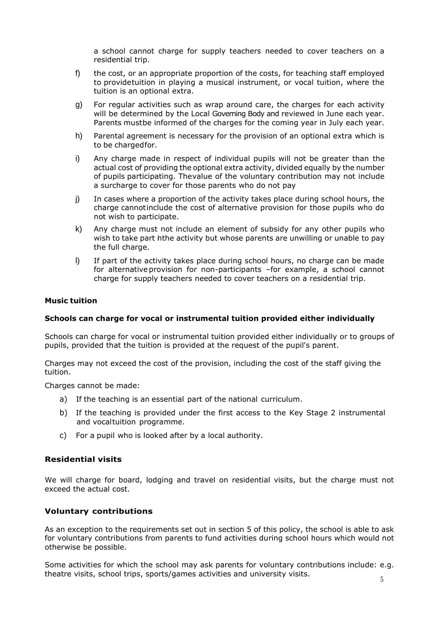a school cannot charge for supply teachers needed to cover teachers on a residential trip.

- f) the cost, or an appropriate proportion of the costs, for teaching staff employed to providetuition in playing a musical instrument, or vocal tuition, where the tuition is an optional extra.
- g) For regular activities such as wrap around care, the charges for each activity will be determined by the Local Governing Body and reviewed in June each year. Parents mustbe informed of the charges for the coming year in July each year.
- h) Parental agreement is necessary for the provision of an optional extra which is to be chargedfor.
- i) Any charge made in respect of individual pupils will not be greater than the actual cost of providing the optional extra activity, divided equally by the number of pupils participating. Thevalue of the voluntary contribution may not include a surcharge to cover for those parents who do not pay
- j) In cases where a proportion of the activity takes place during school hours, the charge cannotinclude the cost of alternative provision for those pupils who do not wish to participate.
- k) Any charge must not include an element of subsidy for any other pupils who wish to take part inthe activity but whose parents are unwilling or unable to pay the full charge.
- l) If part of the activity takes place during school hours, no charge can be made for alternative provision for non-participants –for example, a school cannot charge for supply teachers needed to cover teachers on a residential trip.

#### **Music tuition**

#### **Schools can charge for vocal or instrumental tuition provided either individually**

Schools can charge for vocal or instrumental tuition provided either individually or to groups of pupils, provided that the tuition is provided at the request of the pupil's parent.

Charges may not exceed the cost of the provision, including the cost of the staff giving the tuition.

Charges cannot be made:

- a) If the teaching is an essential part of the national curriculum.
- b) If the teaching is provided under the first access to the Key Stage 2 instrumental and vocaltuition programme.
- c) For a pupil who is looked after by a local authority.

#### **Residential visits**

We will charge for board, lodging and travel on residential visits, but the charge must not exceed the actual cost.

#### **Voluntary contributions**

As an exception to the requirements set out in section 5 of this policy, the school is able to ask for voluntary contributions from parents to fund activities during school hours which would not otherwise be possible.

Some activities for which the school may ask parents for voluntary contributions include: e.g. theatre visits, school trips, sports/games activities and university visits.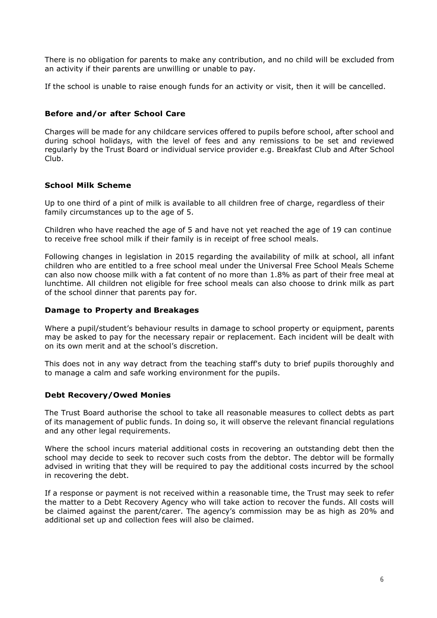There is no obligation for parents to make any contribution, and no child will be excluded from an activity if their parents are unwilling or unable to pay.

If the school is unable to raise enough funds for an activity or visit, then it will be cancelled.

## **Before and/or after School Care**

Charges will be made for any childcare services offered to pupils before school, after school and during school holidays, with the level of fees and any remissions to be set and reviewed regularly by the Trust Board or individual service provider e.g. Breakfast Club and After School Club.

# **School Milk Scheme**

Up to one third of a pint of milk is available to all children free of charge, regardless of their family circumstances up to the age of 5.

Children who have reached the age of 5 and have not yet reached the age of 19 can continue to receive free school milk if their family is in receipt of free school meals.

Following changes in legislation in 2015 regarding the availability of milk at school, all infant children who are entitled to a free school meal under the Universal Free School Meals Scheme can also now choose milk with a fat content of no more than 1.8% as part of their free meal at lunchtime. All children not eligible for free school meals can also choose to drink milk as part of the school dinner that parents pay for.

#### **Damage to Property and Breakages**

Where a pupil/student's behaviour results in damage to school property or equipment, parents may be asked to pay for the necessary repair or replacement. Each incident will be dealt with on its own merit and at the school's discretion.

This does not in any way detract from the teaching staff's duty to brief pupils thoroughly and to manage a calm and safe working environment for the pupils.

## **Debt Recovery/Owed Monies**

The Trust Board authorise the school to take all reasonable measures to collect debts as part of its management of public funds. In doing so, it will observe the relevant financial regulations and any other legal requirements.

Where the school incurs material additional costs in recovering an outstanding debt then the school may decide to seek to recover such costs from the debtor. The debtor will be formally advised in writing that they will be required to pay the additional costs incurred by the school in recovering the debt.

If a response or payment is not received within a reasonable time, the Trust may seek to refer the matter to a Debt Recovery Agency who will take action to recover the funds. All costs will be claimed against the parent/carer. The agency's commission may be as high as 20% and additional set up and collection fees will also be claimed.